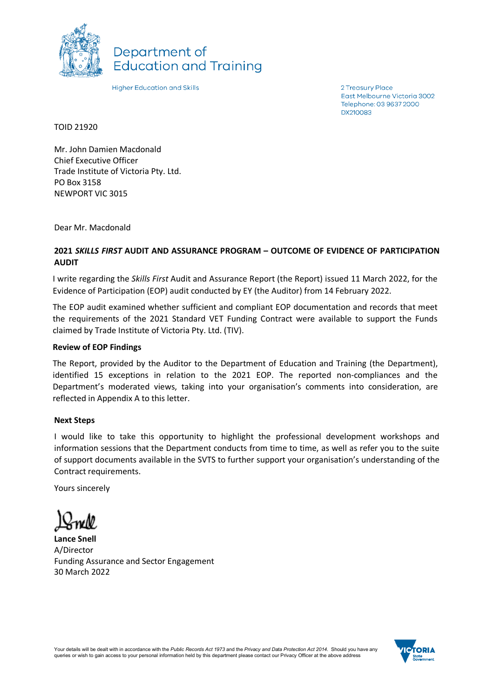

Department of **Education and Training** 

**Higher Education and Skills** 

2 Treasury Place East Melbourne Victoria 3002 Telephone: 03 9637 2000 **DX210083** 

TOID 21920

Mr. John Damien Macdonald Chief Executive Officer Trade Institute of Victoria Pty. Ltd. PO Box 3158 NEWPORT VIC 3015

Dear Mr. Macdonald

## **2021** *SKILLS FIRST* **AUDIT AND ASSURANCE PROGRAM – OUTCOME OF EVIDENCE OF PARTICIPATION AUDIT**

I write regarding the *Skills First* Audit and Assurance Report (the Report) issued 11 March 2022, for the Evidence of Participation (EOP) audit conducted by EY (the Auditor) from 14 February 2022.

The EOP audit examined whether sufficient and compliant EOP documentation and records that meet the requirements of the 2021 Standard VET Funding Contract were available to support the Funds claimed by Trade Institute of Victoria Pty. Ltd. (TIV).

## **Review of EOP Findings**

The Report, provided by the Auditor to the Department of Education and Training (the Department), identified 15 exceptions in relation to the 2021 EOP. The reported non-compliances and the Department's moderated views, taking into your organisation's comments into consideration, are reflected in Appendix A to this letter.

## **Next Steps**

I would like to take this opportunity to highlight the professional development workshops and information sessions that the Department conducts from time to time, as well as refer you to the suite of support documents available in the SVTS to further support your organisation's understanding of the Contract requirements.

Yours sincerely

**Lance Snell** A/Director Funding Assurance and Sector Engagement 30 March 2022